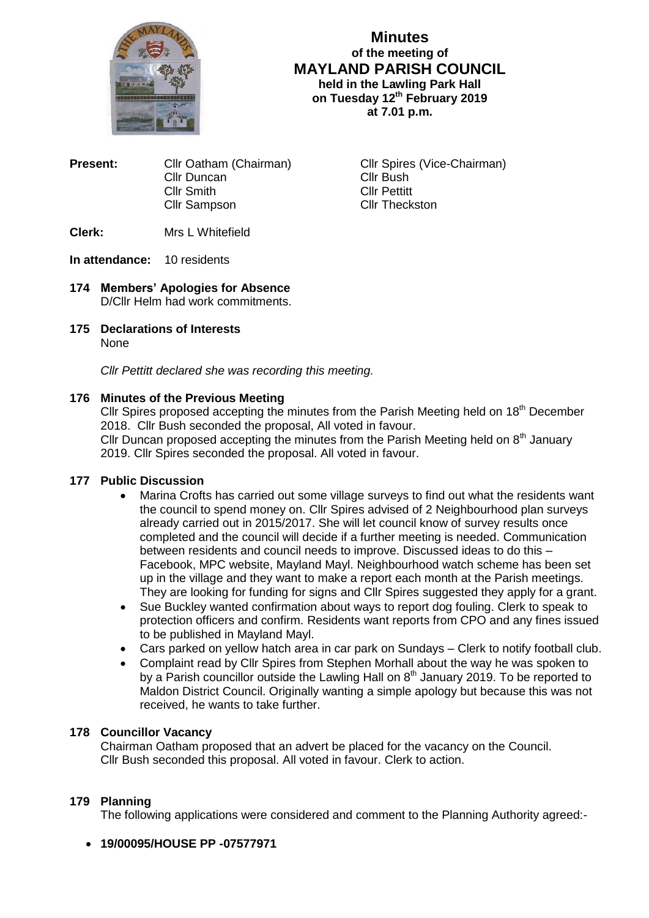

# **Minutes of the meeting of MAYLAND PARISH COUNCIL held in the Lawling Park Hall on Tuesday 12th February 2019 at 7.01 p.m.**

**Present:** Cllr Oatham (Chairman) Cllr Spires (Vice-Chairman) Cllr Duncan Cllr Bush<br>Cllr Smith Cllr Cllr Pettitt Cllr Smith Cllr Sampson Cllr Theckston

**Clerk:** Mrs L Whitefield

## **In attendance:** 10 residents

- **174 Members' Apologies for Absence** D/Cllr Helm had work commitments.
- **175 Declarations of Interests** None

*Cllr Pettitt declared she was recording this meeting.*

## **176 Minutes of the Previous Meeting**

Cllr Spires proposed accepting the minutes from the Parish Meeting held on 18<sup>th</sup> December 2018. Cllr Bush seconded the proposal, All voted in favour.

Cllr Duncan proposed accepting the minutes from the Parish Meeting held on  $8<sup>th</sup>$  January 2019. Cllr Spires seconded the proposal. All voted in favour.

## **177 Public Discussion**

- Marina Crofts has carried out some village surveys to find out what the residents want the council to spend money on. Cllr Spires advised of 2 Neighbourhood plan surveys already carried out in 2015/2017. She will let council know of survey results once completed and the council will decide if a further meeting is needed. Communication between residents and council needs to improve. Discussed ideas to do this – Facebook, MPC website, Mayland Mayl. Neighbourhood watch scheme has been set up in the village and they want to make a report each month at the Parish meetings. They are looking for funding for signs and Cllr Spires suggested they apply for a grant.
- Sue Buckley wanted confirmation about ways to report dog fouling. Clerk to speak to protection officers and confirm. Residents want reports from CPO and any fines issued to be published in Mayland Mayl.
- Cars parked on yellow hatch area in car park on Sundays Clerk to notify football club.
- Complaint read by Cllr Spires from Stephen Morhall about the way he was spoken to by a Parish councillor outside the Lawling Hall on  $8<sup>th</sup>$  January 2019. To be reported to Maldon District Council. Originally wanting a simple apology but because this was not received, he wants to take further.

## **178 Councillor Vacancy**

Chairman Oatham proposed that an advert be placed for the vacancy on the Council. Cllr Bush seconded this proposal. All voted in favour. Clerk to action.

# **179 Planning**

The following applications were considered and comment to the Planning Authority agreed:-

**19/00095/HOUSE PP -07577971**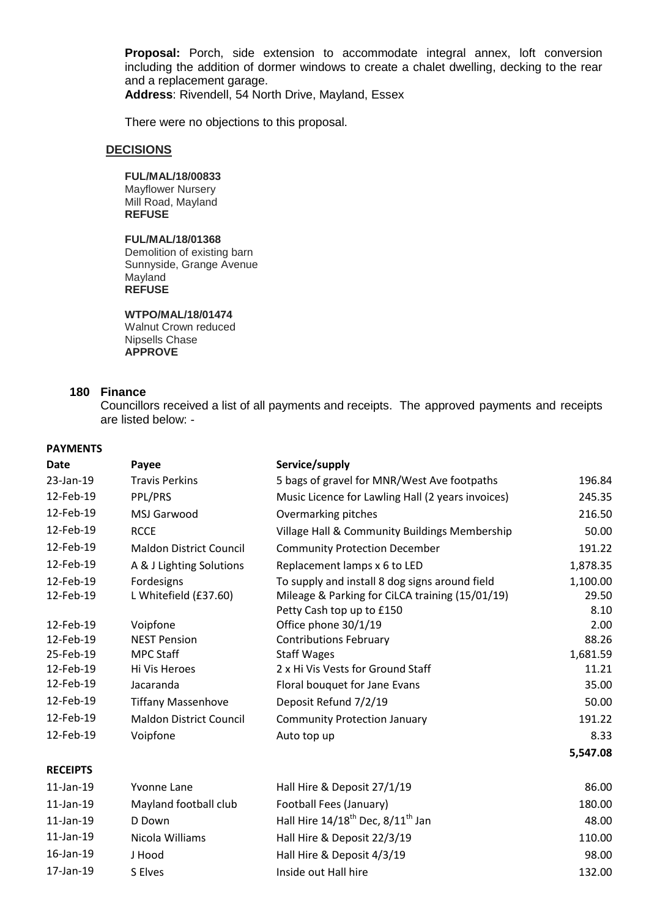**Proposal:** Porch, side extension to accommodate integral annex, loft conversion including the addition of dormer windows to create a chalet dwelling, decking to the rear and a replacement garage.

**Address**: Rivendell, 54 North Drive, Mayland, Essex

There were no objections to this proposal.

## **DECISIONS**

#### **FUL/MAL/18/00833**

Mayflower Nursery Mill Road, Mayland **REFUSE**

## **FUL/MAL/18/01368**

Demolition of existing barn Sunnyside, Grange Avenue Mayland **REFUSE**

# **WTPO/MAL/18/01474**

Walnut Crown reduced Nipsells Chase **APPROVE**

#### **180 Finance**

Councillors received a list of all payments and receipts. The approved payments and receipts are listed below: -

## **PAYMENTS**

| Date            | Payee                          | Service/supply                                            |          |
|-----------------|--------------------------------|-----------------------------------------------------------|----------|
| 23-Jan-19       | <b>Travis Perkins</b>          | 5 bags of gravel for MNR/West Ave footpaths               | 196.84   |
| 12-Feb-19       | PPL/PRS                        | Music Licence for Lawling Hall (2 years invoices)         | 245.35   |
| 12-Feb-19       | MSJ Garwood                    | Overmarking pitches                                       | 216.50   |
| 12-Feb-19       | <b>RCCE</b>                    | Village Hall & Community Buildings Membership             | 50.00    |
| 12-Feb-19       | <b>Maldon District Council</b> | <b>Community Protection December</b>                      | 191.22   |
| 12-Feb-19       | A & J Lighting Solutions       | Replacement lamps x 6 to LED                              | 1,878.35 |
| 12-Feb-19       | Fordesigns                     | To supply and install 8 dog signs around field            | 1,100.00 |
| 12-Feb-19       | L Whitefield (£37.60)          | Mileage & Parking for CiLCA training (15/01/19)           | 29.50    |
|                 |                                | Petty Cash top up to £150                                 | 8.10     |
| 12-Feb-19       | Voipfone                       | Office phone 30/1/19                                      | 2.00     |
| 12-Feb-19       | <b>NEST Pension</b>            | <b>Contributions February</b>                             | 88.26    |
| 25-Feb-19       | <b>MPC Staff</b>               | <b>Staff Wages</b>                                        | 1,681.59 |
| 12-Feb-19       | Hi Vis Heroes                  | 2 x Hi Vis Vests for Ground Staff                         | 11.21    |
| 12-Feb-19       | Jacaranda                      | Floral bouquet for Jane Evans                             | 35.00    |
| 12-Feb-19       | <b>Tiffany Massenhove</b>      | Deposit Refund 7/2/19                                     | 50.00    |
| 12-Feb-19       | <b>Maldon District Council</b> | <b>Community Protection January</b>                       | 191.22   |
| 12-Feb-19       | Voipfone                       | Auto top up                                               | 8.33     |
|                 |                                |                                                           | 5,547.08 |
| <b>RECEIPTS</b> |                                |                                                           |          |
| $11$ -Jan-19    | Yvonne Lane                    | Hall Hire & Deposit 27/1/19                               | 86.00    |
| $11$ -Jan-19    | Mayland football club          | Football Fees (January)                                   | 180.00   |
| $11$ -Jan-19    | D Down                         | Hall Hire 14/18 <sup>th</sup> Dec, 8/11 <sup>th</sup> Jan | 48.00    |
| $11$ -Jan-19    | Nicola Williams                | Hall Hire & Deposit 22/3/19                               | 110.00   |
| 16-Jan-19       | J Hood                         | Hall Hire & Deposit 4/3/19                                | 98.00    |
| 17-Jan-19       | S Elves                        | Inside out Hall hire                                      | 132.00   |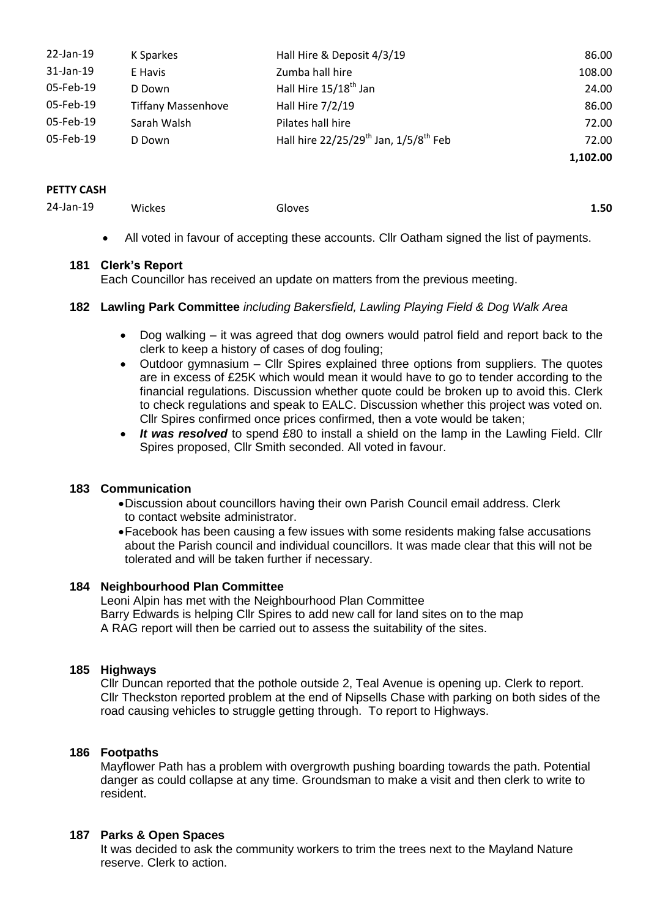| 22-Jan-19 | K Sparkes                 | Hall Hire & Deposit 4/3/19                                    | 86.00    |
|-----------|---------------------------|---------------------------------------------------------------|----------|
| 31-Jan-19 | E Havis                   | Zumba hall hire                                               | 108.00   |
| 05-Feb-19 | D Down                    | Hall Hire 15/18 <sup>th</sup> Jan                             | 24.00    |
| 05-Feb-19 | <b>Tiffany Massenhove</b> | Hall Hire 7/2/19                                              | 86.00    |
| 05-Feb-19 | Sarah Walsh               | Pilates hall hire                                             | 72.00    |
| 05-Feb-19 | D Down                    | Hall hire 22/25/29 <sup>th</sup> Jan, 1/5/8 <sup>th</sup> Feb | 72.00    |
|           |                           |                                                               | 1,102.00 |

#### **PETTY CASH**

24-Jan-19 Wickes Gloves **1.50**

All voted in favour of accepting these accounts. Cllr Oatham signed the list of payments.

### **181 Clerk's Report**

Each Councillor has received an update on matters from the previous meeting.

## **182 Lawling Park Committee** *including Bakersfield, Lawling Playing Field & Dog Walk Area*

- Dog walking it was agreed that dog owners would patrol field and report back to the clerk to keep a history of cases of dog fouling;
- Outdoor gymnasium Cllr Spires explained three options from suppliers. The quotes are in excess of £25K which would mean it would have to go to tender according to the financial regulations. Discussion whether quote could be broken up to avoid this. Clerk to check regulations and speak to EALC. Discussion whether this project was voted on. Cllr Spires confirmed once prices confirmed, then a vote would be taken;
- *It was resolved* to spend £80 to install a shield on the lamp in the Lawling Field. Cllr Spires proposed, Cllr Smith seconded. All voted in favour.

## **183 Communication**

- Discussion about councillors having their own Parish Council email address. Clerk to contact website administrator.
- Facebook has been causing a few issues with some residents making false accusations about the Parish council and individual councillors. It was made clear that this will not be tolerated and will be taken further if necessary.

### **184 Neighbourhood Plan Committee**

Leoni Alpin has met with the Neighbourhood Plan Committee Barry Edwards is helping Cllr Spires to add new call for land sites on to the map A RAG report will then be carried out to assess the suitability of the sites.

## **185 Highways**

Cllr Duncan reported that the pothole outside 2, Teal Avenue is opening up. Clerk to report. Cllr Theckston reported problem at the end of Nipsells Chase with parking on both sides of the road causing vehicles to struggle getting through. To report to Highways.

## **186 Footpaths**

Mayflower Path has a problem with overgrowth pushing boarding towards the path. Potential danger as could collapse at any time. Groundsman to make a visit and then clerk to write to resident.

## **187 Parks & Open Spaces**

It was decided to ask the community workers to trim the trees next to the Mayland Nature reserve. Clerk to action.